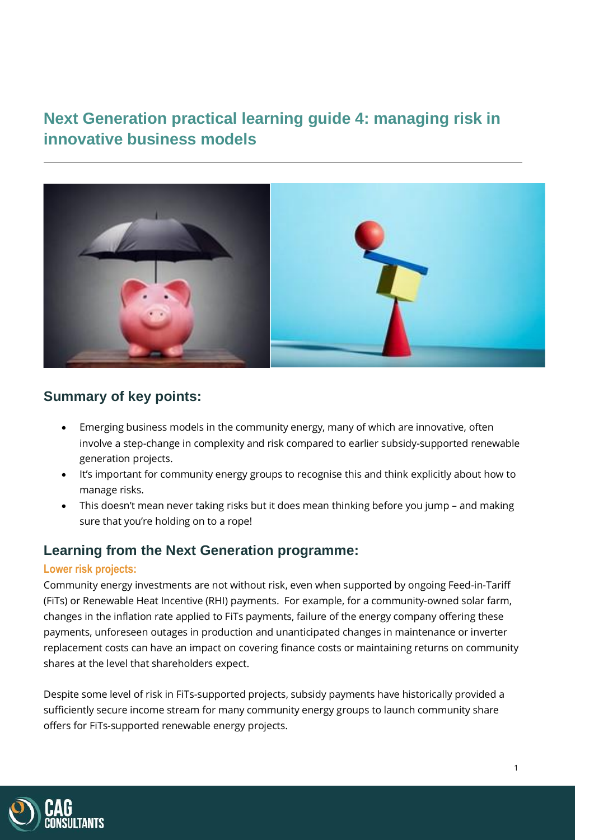# **Next Generation practical learning guide 4: managing risk in innovative business models**



### **Summary of key points:**

- Emerging business models in the community energy, many of which are innovative, often involve a step-change in complexity and risk compared to earlier subsidy-supported renewable generation projects.
- It's important for community energy groups to recognise this and think explicitly about how to manage risks.
- This doesn't mean never taking risks but it does mean thinking before you jump and making sure that you're holding on to a rope!

### **Learning from the Next Generation programme:**

#### **Lower risk projects:**

Community energy investments are not without risk, even when supported by ongoing Feed-in-Tariff (FiTs) or Renewable Heat Incentive (RHI) payments. For example, for a community-owned solar farm, changes in the inflation rate applied to FiTs payments, failure of the energy company offering these payments, unforeseen outages in production and unanticipated changes in maintenance or inverter replacement costs can have an impact on covering finance costs or maintaining returns on community shares at the level that shareholders expect.

Despite some level of risk in FiTs-supported projects, subsidy payments have historically provided a sufficiently secure income stream for many community energy groups to launch community share offers for FiTs-supported renewable energy projects.

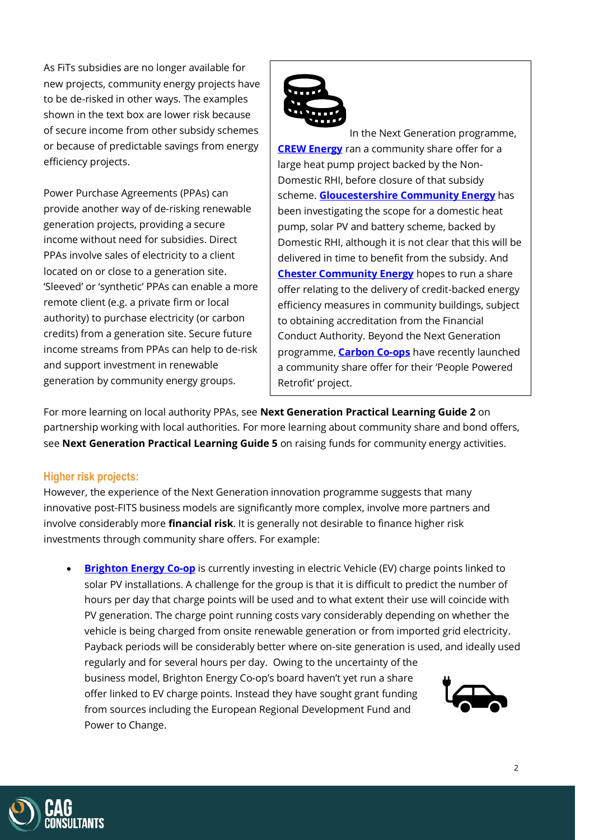As FiTs subsidies are no longer available for new projects, community energy projects have to be de-risked in other ways. The examples shown in the text box are lower risk because of secure income from other subsidy schemes or because of predictable savings from energy efficiency projects.

Power Purchase Agreements (PPAs) can provide another way of de-risking renewable generation projects, providing a secure income without need for subsidies. Direct PPAs involve sales of electricity to a client located on or close to a generation site. 'Sleeved' or 'synthetic' PPAs can enable a more remote client (e.g. a private firm or local authority) to purchase electricity (or carbon credits) from a generation site. Secure future income streams from PPAs can help to de-risk and support investment in renewable generation by community energy groups.



In the Next Generation programme, **[CREW Energy](https://www.crewenergy.london/)** ran a community share offer for a large heat pump project backed by the Non-Domestic RHI, before closure of that subsidy scheme. **Gloucestershire [Community Energy](https://gloscommenergy.org.uk/)** has been investigating the scope for a domestic heat pump, solar PV and battery scheme, backed by Domestic RHI, although it is not clear that this will be delivered in time to benefit from the subsidy. And **[Chester Community Energy](http://www.chestercommunityenergy.org.uk/)** hopes to run a share offer relating to the delivery of credit-backed energy efficiency measures in community buildings, subject to obtaining accreditation from the Financial Conduct Authority. Beyond the Next Generation programme, **[Carbon](https://carbon.coop/2021/09/people-powered-retrofit-community-shares-issue-launched/) Co-ops** have recently launched a community share offer for their 'People Powered Retrofit' project.

For more learning on local authority PPAs, see **Next Generation Practical Learning Guide 2** on partnership working with local authorities. For more learning about community share and bond offers, see **Next Generation Practical Learning Guide 5** on raising funds for community energy activities.

### **Higher risk projects:**

However, the experience of the Next Generation innovation programme suggests that many innovative post-FITS business models are significantly more complex, involve more partners and involve considerably more **financial risk**. It is generally not desirable to finance higher risk investments through community share offers. For example:

• **[Brighton Energy](https://brightonenergy.org.uk/) Co-op** is currently investing in electric Vehicle (EV) charge points linked to solar PV installations. A challenge for the group is that it is difficult to predict the number of hours per day that charge points will be used and to what extent their use will coincide with PV generation. The charge point running costs vary considerably depending on whether the vehicle is being charged from onsite renewable generation or from imported grid electricity. Payback periods will be considerably better where on-site generation is used, and ideally used regularly and for several hours per day. Owing to the uncertainty of the business model, Brighton Energy Co-op's board haven't yet run a share offer linked to EV charge points. Instead they have sought grant funding from sources including the European Regional Development Fund and Power to Change.

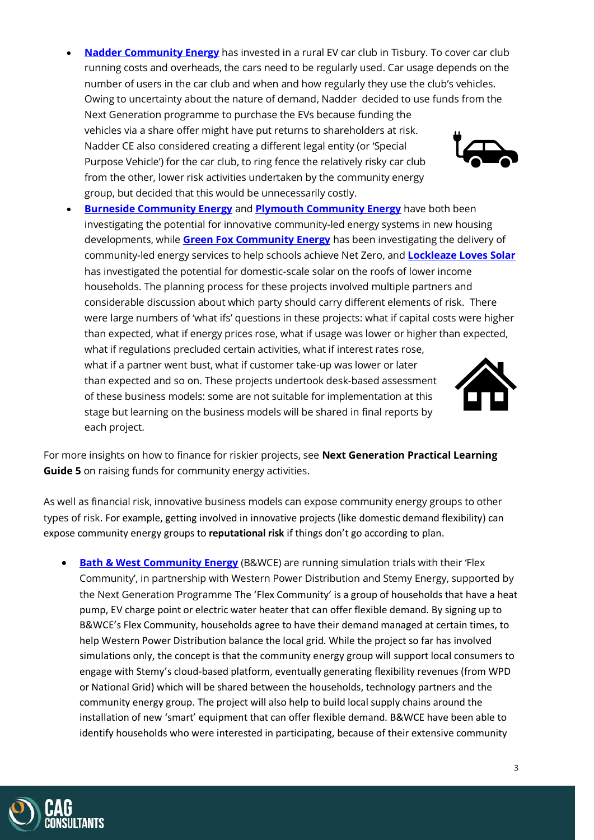- **[Nadder Community Energy](https://www.nadderce.org.uk/)** has invested in a rural EV car club in Tisbury. To cover car club running costs and overheads, the cars need to be regularly used. Car usage depends on the number of users in the car club and when and how regularly they use the club's vehicles. Owing to uncertainty about the nature of demand, Nadder decided to use funds from the Next Generation programme to purchase the EVs because funding the vehicles via a share offer might have put returns to shareholders at risk. Nadder CE also considered creating a different legal entity (or 'Special Purpose Vehicle') for the car club, to ring fence the relatively risky car club from the other, lower risk activities undertaken by the community energy group, but decided that this would be unnecessarily costly.
- **[Burneside Community Energy](https://bce.org.uk/) and [Plymouth Community Energy](https://plymouthenergycommunity.com/)** have both been investigating the potential for innovative community-led energy systems in new housing developments, while **[Green Fox Community Energy](https://greenfoxcommunityenergy.coop/)** has been investigating the delivery of community-led energy services to help schools achieve Net Zero, and **[Lockleaze Loves Solar](https://www.lockleazehub.org.uk/lockleaze-loves-solar)** has investigated the potential for domestic-scale solar on the roofs of lower income households. The planning process for these projects involved multiple partners and considerable discussion about which party should carry different elements of risk. There were large numbers of 'what ifs' questions in these projects: what if capital costs were higher than expected, what if energy prices rose, what if usage was lower or higher than expected, what if regulations precluded certain activities, what if interest rates rose, what if a partner went bust, what if customer take-up was lower or later than expected and so on. These projects undertook desk-based assessment of these business models: some are not suitable for implementation at this stage but learning on the business models will be shared in final reports by each project.

For more insights on how to finance for riskier projects, see **Next Generation Practical Learning Guide 5** on raising funds for community energy activities.

As well as financial risk, innovative business models can expose community energy groups to other types of risk. For example, getting involved in innovative projects (like domestic demand flexibility) can expose community energy groups to **reputational risk** if things don't go according to plan.

• **[Bath & West Community Energy](https://www.bwce.coop/)** (B&WCE) are running simulation trials with their 'Flex Community', in partnership with Western Power Distribution and Stemy Energy, supported by the Next Generation Programme The 'Flex Community' is a group of households that have a heat pump, EV charge point or electric water heater that can offer flexible demand. By signing up to B&WCE's Flex Community, households agree to have their demand managed at certain times, to help Western Power Distribution balance the local grid. While the project so far has involved simulations only, the concept is that the community energy group will support local consumers to engage with Stemy's cloud-based platform, eventually generating flexibility revenues (from WPD or National Grid) which will be shared between the households, technology partners and the community energy group. The project will also help to build local supply chains around the installation of new 'smart' equipment that can offer flexible demand. B&WCE have been able to identify households who were interested in participating, because of their extensive community





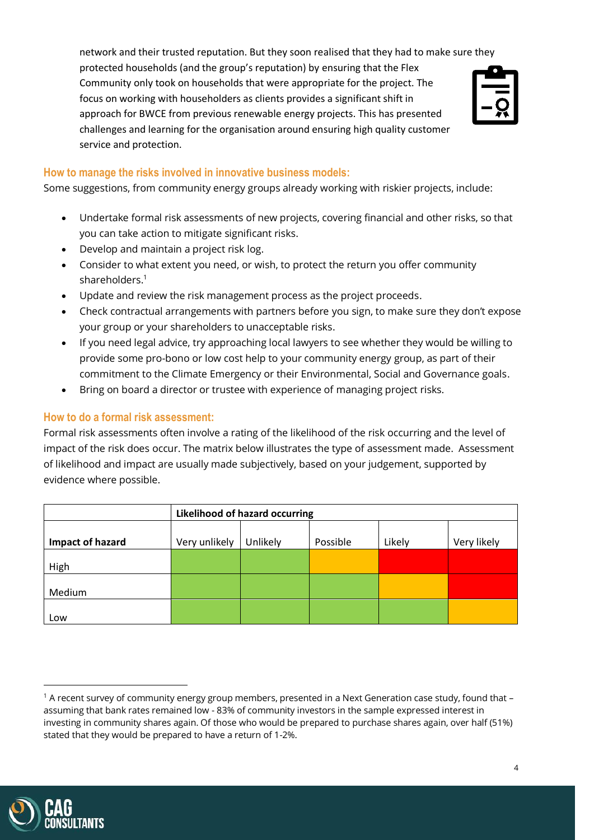network and their trusted reputation. But they soon realised that they had to make sure they protected households (and the group's reputation) by ensuring that the Flex Community only took on households that were appropriate for the project. The focus on working with householders as clients provides a significant shift in approach for BWCE from previous renewable energy projects. This has presented challenges and learning for the organisation around ensuring high quality customer service and protection.

#### **How to manage the risks involved in innovative business models:**

Some suggestions, from community energy groups already working with riskier projects, include:

- Undertake formal risk assessments of new projects, covering financial and other risks, so that you can take action to mitigate significant risks.
- Develop and maintain a project risk log.
- Consider to what extent you need, or wish, to protect the return you offer community shareholders. 1
- Update and review the risk management process as the project proceeds.
- Check contractual arrangements with partners before you sign, to make sure they don't expose your group or your shareholders to unacceptable risks.
- If you need legal advice, try approaching local lawyers to see whether they would be willing to provide some pro-bono or low cost help to your community energy group, as part of their commitment to the Climate Emergency or their Environmental, Social and Governance goals.
- Bring on board a director or trustee with experience of managing project risks.

#### **How to do a formal risk assessment:**

Formal risk assessments often involve a rating of the likelihood of the risk occurring and the level of impact of the risk does occur. The matrix below illustrates the type of assessment made. Assessment of likelihood and impact are usually made subjectively, based on your judgement, supported by evidence where possible.

|                  | <b>Likelihood of hazard occurring</b> |          |          |        |             |  |  |
|------------------|---------------------------------------|----------|----------|--------|-------------|--|--|
| Impact of hazard | Very unlikely                         | Unlikely | Possible | Likely | Very likely |  |  |
| High             |                                       |          |          |        |             |  |  |
| Medium           |                                       |          |          |        |             |  |  |
| Low              |                                       |          |          |        |             |  |  |



 $1$  A recent survey of community energy group members, presented in a Next Generation case study, found that  $$ assuming that bank rates remained low - 83% of community investors in the sample expressed interest in investing in community shares again. Of those who would be prepared to purchase shares again, over half (51%) stated that they would be prepared to have a return of 1-2%.